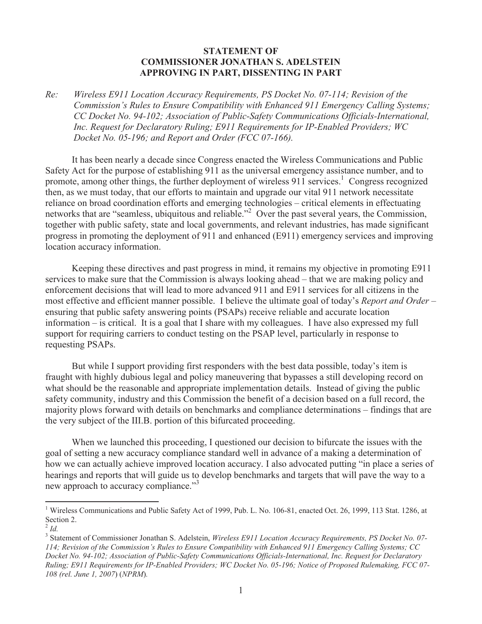## **STATEMENT OF COMMISSIONER JONATHAN S. ADELSTEIN APPROVING IN PART, DISSENTING IN PART**

*Re: Wireless E911 Location Accuracy Requirements, PS Docket No. 07-114; Revision of the Commission's Rules to Ensure Compatibility with Enhanced 911 Emergency Calling Systems; CC Docket No. 94-102; Association of Public-Safety Communications Officials-International, Inc. Request for Declaratory Ruling; E911 Requirements for IP-Enabled Providers; WC Docket No. 05-196; and Report and Order (FCC 07-166).*

It has been nearly a decade since Congress enacted the Wireless Communications and Public Safety Act for the purpose of establishing 911 as the universal emergency assistance number, and to promote, among other things, the further deployment of wireless 911 services.<sup>1</sup> Congress recognized then, as we must today, that our efforts to maintain and upgrade our vital 911 network necessitate reliance on broad coordination efforts and emerging technologies – critical elements in effectuating networks that are "seamless, ubiquitous and reliable."<sup>2</sup> Over the past several years, the Commission, together with public safety, state and local governments, and relevant industries, has made significant progress in promoting the deployment of 911 and enhanced (E911) emergency services and improving location accuracy information.

Keeping these directives and past progress in mind, it remains my objective in promoting E911 services to make sure that the Commission is always looking ahead – that we are making policy and enforcement decisions that will lead to more advanced 911 and E911 services for all citizens in the most effective and efficient manner possible. I believe the ultimate goal of today's *Report and Order* – ensuring that public safety answering points (PSAPs) receive reliable and accurate location information – is critical. It is a goal that I share with my colleagues. I have also expressed my full support for requiring carriers to conduct testing on the PSAP level, particularly in response to requesting PSAPs.

But while I support providing first responders with the best data possible, today's item is fraught with highly dubious legal and policy maneuvering that bypasses a still developing record on what should be the reasonable and appropriate implementation details. Instead of giving the public safety community, industry and this Commission the benefit of a decision based on a full record, the majority plows forward with details on benchmarks and compliance determinations – findings that are the very subject of the III.B. portion of this bifurcated proceeding.

When we launched this proceeding, I questioned our decision to bifurcate the issues with the goal of setting a new accuracy compliance standard well in advance of a making a determination of how we can actually achieve improved location accuracy. I also advocated putting "in place a series of hearings and reports that will guide us to develop benchmarks and targets that will pave the way to a new approach to accuracy compliance."<sup>3</sup>

<sup>&</sup>lt;sup>1</sup> Wireless Communications and Public Safety Act of 1999, Pub. L. No. 106-81, enacted Oct. 26, 1999, 113 Stat. 1286, at Section 2.

<sup>2</sup> *Id.*

<sup>3</sup> Statement of Commissioner Jonathan S. Adelstein, *Wireless E911 Location Accuracy Requirements, PS Docket No. 07- 114; Revision of the Commission's Rules to Ensure Compatibility with Enhanced 911 Emergency Calling Systems; CC Docket No. 94-102; Association of Public-Safety Communications Officials-International, Inc. Request for Declaratory Ruling; E911 Requirements for IP-Enabled Providers; WC Docket No. 05-196; Notice of Proposed Rulemaking, FCC 07- 108 (rel. June 1, 2007*) (*NPRM*)*.*